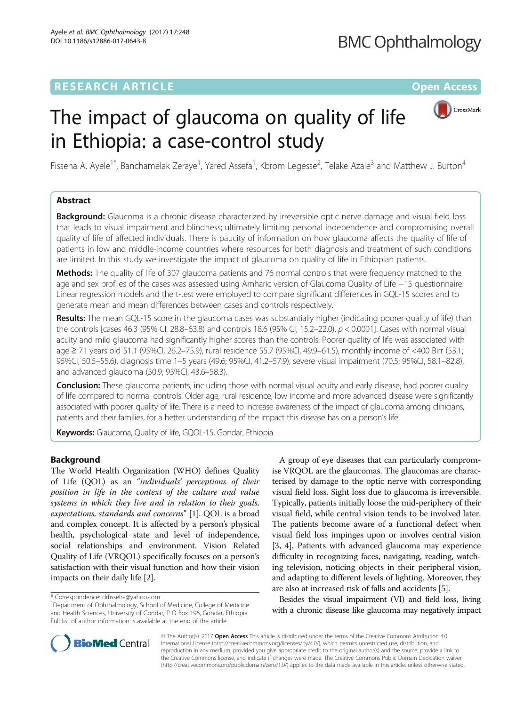# **RESEARCH ARTICLE Example 2014 12:30 The Contract of Contract ACCESS**

# CrossMark

# The impact of glaucoma on quality of life in Ethiopia: a case-control study

Fisseha A. Ayele<sup>1\*</sup>, Banchamelak Zeraye<sup>1</sup>, Yared Assefa<sup>1</sup>, Kbrom Legesse<sup>2</sup>, Telake Azale<sup>3</sup> and Matthew J. Burton<sup>4</sup>

## Abstract

Background: Glaucoma is a chronic disease characterized by irreversible optic nerve damage and visual field loss that leads to visual impairment and blindness; ultimately limiting personal independence and compromising overall quality of life of affected individuals. There is paucity of information on how glaucoma affects the quality of life of patients in low and middle-income countries where resources for both diagnosis and treatment of such conditions are limited. In this study we investigate the impact of glaucoma on quality of life in Ethiopian patients.

Methods: The quality of life of 307 glaucoma patients and 76 normal controls that were frequency matched to the age and sex profiles of the cases was assessed using Amharic version of Glaucoma Quality of Life −15 questionnaire. Linear regression models and the t-test were employed to compare significant differences in GQL-15 scores and to generate mean and mean differences between cases and controls respectively.

Results: The mean GQL-15 score in the glaucoma cases was substantially higher (indicating poorer quality of life) than the controls [cases 46.3 (95% CI, 28.8–63.8) and controls 18.6 (95% CI, 15.2–22.0),  $p < 0.0001$ ]. Cases with normal visual acuity and mild glaucoma had significantly higher scores than the controls. Poorer quality of life was associated with age ≥ 71 years old 51.1 (95%CI, 26.2–75.9), rural residence 55.7 (95%CI, 49.9–61.5), monthly income of <400 Birr (53.1; 95%CI, 50.5–55.6), diagnosis time 1–5 years (49.6; 95%CI, 41.2–57.9), severe visual impairment (70.5; 95%CI, 58.1–82.8), and advanced glaucoma (50.9; 95%CI, 43.6–58.3).

Conclusion: These glaucoma patients, including those with normal visual acuity and early disease, had poorer quality of life compared to normal controls. Older age, rural residence, low income and more advanced disease were significantly associated with poorer quality of life. There is a need to increase awareness of the impact of glaucoma among clinicians, patients and their families, for a better understanding of the impact this disease has on a person's life.

Keywords: Glaucoma, Quality of life, GQOL-15, Gondar, Ethiopia

## Background

The World Health Organization (WHO) defines Quality of Life (QOL) as an "individuals' perceptions of their position in life in the context of the culture and value systems in which they live and in relation to their goals, expectations, standards and concerns" [[1\]](#page-7-0). QOL is a broad and complex concept. It is affected by a person's physical health, psychological state and level of independence, social relationships and environment. Vision Related Quality of Life (VRQOL) specifically focuses on a person's satisfaction with their visual function and how their vision impacts on their daily life [[2\]](#page-7-0).

\* Correspondence: [drfisseha@yahoo.com](mailto:drfisseha@yahoo.com) <sup>1</sup>

A group of eye diseases that can particularly compromise VRQOL are the glaucomas. The glaucomas are characterised by damage to the optic nerve with corresponding visual field loss. Sight loss due to glaucoma is irreversible. Typically, patients initially loose the mid-periphery of their visual field, while central vision tends to be involved later. The patients become aware of a functional defect when visual field loss impinges upon or involves central vision [[3, 4\]](#page-7-0). Patients with advanced glaucoma may experience difficulty in recognizing faces, navigating, reading, watching television, noticing objects in their peripheral vision, and adapting to different levels of lighting. Moreover, they are also at increased risk of falls and accidents [\[5\]](#page-7-0).

Besides the visual impairment (VI) and field loss, living with a chronic disease like glaucoma may negatively impact



© The Author(s). 2017 **Open Access** This article is distributed under the terms of the Creative Commons Attribution 4.0 International License [\(http://creativecommons.org/licenses/by/4.0/](http://creativecommons.org/licenses/by/4.0/)), which permits unrestricted use, distribution, and reproduction in any medium, provided you give appropriate credit to the original author(s) and the source, provide a link to the Creative Commons license, and indicate if changes were made. The Creative Commons Public Domain Dedication waiver [\(http://creativecommons.org/publicdomain/zero/1.0/](http://creativecommons.org/publicdomain/zero/1.0/)) applies to the data made available in this article, unless otherwise stated.

<sup>&</sup>lt;sup>1</sup>Department of Ophthalmology, School of Medicine, College of Medicine and Health Sciences, University of Gondar, P O Box 196, Gondar, Ethiopia Full list of author information is available at the end of the article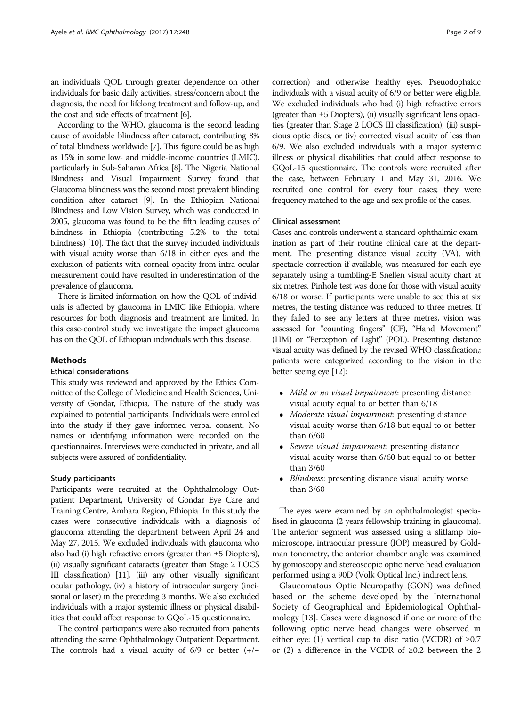an individual's QOL through greater dependence on other individuals for basic daily activities, stress/concern about the diagnosis, the need for lifelong treatment and follow-up, and the cost and side effects of treatment [[6](#page-7-0)].

According to the WHO, glaucoma is the second leading cause of avoidable blindness after cataract, contributing 8% of total blindness worldwide [\[7\]](#page-7-0). This figure could be as high as 15% in some low- and middle-income countries (LMIC), particularly in Sub-Saharan Africa [\[8\]](#page-8-0). The Nigeria National Blindness and Visual Impairment Survey found that Glaucoma blindness was the second most prevalent blinding condition after cataract [[9](#page-8-0)]. In the Ethiopian National Blindness and Low Vision Survey, which was conducted in 2005, glaucoma was found to be the fifth leading causes of blindness in Ethiopia (contributing 5.2% to the total blindness) [\[10\]](#page-8-0). The fact that the survey included individuals with visual acuity worse than 6/18 in either eyes and the exclusion of patients with corneal opacity from intra ocular measurement could have resulted in underestimation of the prevalence of glaucoma.

There is limited information on how the QOL of individuals is affected by glaucoma in LMIC like Ethiopia, where resources for both diagnosis and treatment are limited. In this case-control study we investigate the impact glaucoma has on the QOL of Ethiopian individuals with this disease.

### Methods

### Ethical considerations

This study was reviewed and approved by the Ethics Committee of the College of Medicine and Health Sciences, University of Gondar, Ethiopia. The nature of the study was explained to potential participants. Individuals were enrolled into the study if they gave informed verbal consent. No names or identifying information were recorded on the questionnaires. Interviews were conducted in private, and all subjects were assured of confidentiality.

#### Study participants

Participants were recruited at the Ophthalmology Outpatient Department, University of Gondar Eye Care and Training Centre, Amhara Region, Ethiopia. In this study the cases were consecutive individuals with a diagnosis of glaucoma attending the department between April 24 and May 27, 2015. We excluded individuals with glaucoma who also had (i) high refractive errors (greater than ±5 Diopters), (ii) visually significant cataracts (greater than Stage 2 LOCS III classification) [\[11](#page-8-0)], (iii) any other visually significant ocular pathology, (iv) a history of intraocular surgery (incisional or laser) in the preceding 3 months. We also excluded individuals with a major systemic illness or physical disabilities that could affect response to GQoL-15 questionnaire.

The control participants were also recruited from patients attending the same Ophthalmology Outpatient Department. The controls had a visual acuity of 6/9 or better (+/− correction) and otherwise healthy eyes. Pseuodophakic individuals with a visual acuity of 6/9 or better were eligible. We excluded individuals who had (i) high refractive errors (greater than  $\pm$ 5 Diopters), (ii) visually significant lens opacities (greater than Stage 2 LOCS III classification), (iii) suspicious optic discs, or (iv) corrected visual acuity of less than 6/9. We also excluded individuals with a major systemic illness or physical disabilities that could affect response to GQoL-15 questionnaire. The controls were recruited after the case, between February 1 and May 31, 2016. We recruited one control for every four cases; they were frequency matched to the age and sex profile of the cases.

#### Clinical assessment

Cases and controls underwent a standard ophthalmic examination as part of their routine clinical care at the department. The presenting distance visual acuity (VA), with spectacle correction if available, was measured for each eye separately using a tumbling-E Snellen visual acuity chart at six metres. Pinhole test was done for those with visual acuity 6/18 or worse. If participants were unable to see this at six metres, the testing distance was reduced to three metres. If they failed to see any letters at three metres, vision was assessed for "counting fingers" (CF), "Hand Movement" (HM) or "Perception of Light" (POL). Presenting distance visual acuity was defined by the revised WHO classification,; patients were categorized according to the vision in the better seeing eye [\[12\]](#page-8-0):

- Mild or no visual impairment: presenting distance visual acuity equal to or better than 6/18
- Moderate visual impairment: presenting distance visual acuity worse than 6/18 but equal to or better than 6/60
- Severe visual impairment: presenting distance visual acuity worse than 6/60 but equal to or better than 3/60
- Blindness: presenting distance visual acuity worse than 3/60

The eyes were examined by an ophthalmologist specialised in glaucoma (2 years fellowship training in glaucoma). The anterior segment was assessed using a slitlamp biomicroscope, intraocular pressure (IOP) measured by Goldman tonometry, the anterior chamber angle was examined by gonioscopy and stereoscopic optic nerve head evaluation performed using a 90D (Volk Optical Inc.) indirect lens.

Glaucomatous Optic Neuropathy (GON) was defined based on the scheme developed by the International Society of Geographical and Epidemiological Ophthalmology [\[13\]](#page-8-0). Cases were diagnosed if one or more of the following optic nerve head changes were observed in either eye: (1) vertical cup to disc ratio (VCDR) of  $\geq 0.7$ or (2) a difference in the VCDR of ≥0.2 between the 2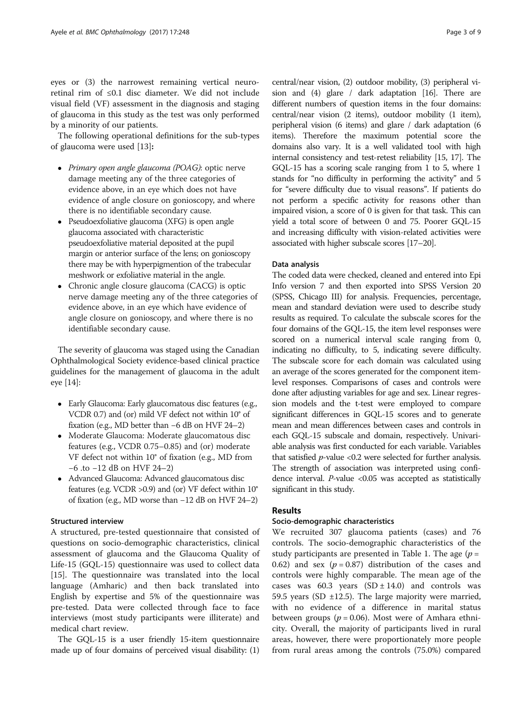eyes or (3) the narrowest remaining vertical neuroretinal rim of ≤0.1 disc diameter. We did not include visual field (VF) assessment in the diagnosis and staging of glaucoma in this study as the test was only performed by a minority of our patients.

The following operational definitions for the sub-types of glaucoma were used [[13\]](#page-8-0):

- Primary open angle glaucoma (POAG): optic nerve damage meeting any of the three categories of evidence above, in an eye which does not have evidence of angle closure on gonioscopy, and where there is no identifiable secondary cause.
- Pseudoexfoliative glaucoma (XFG) is open angle glaucoma associated with characteristic pseudoexfoliative material deposited at the pupil margin or anterior surface of the lens; on gonioscopy there may be with hyperpigmention of the trabecular meshwork or exfoliative material in the angle.
- Chronic angle closure glaucoma (CACG) is optic nerve damage meeting any of the three categories of evidence above, in an eye which have evidence of angle closure on gonioscopy, and where there is no identifiable secondary cause.

The severity of glaucoma was staged using the Canadian Ophthalmological Society evidence-based clinical practice guidelines for the management of glaucoma in the adult eye [\[14\]](#page-8-0):

- Early Glaucoma: Early glaucomatous disc features (e.g., VCDR 0.7) and (or) mild VF defect not within 10° of fixation (e.g., MD better than −6 dB on HVF 24–2)
- Moderate Glaucoma: Moderate glaucomatous disc features (e.g., VCDR 0.75–0.85) and (or) moderate VF defect not within 10° of fixation (e.g., MD from −6 .to −12 dB on HVF 24–2)
- Advanced Glaucoma: Advanced glaucomatous disc features (e.g. VCDR >0.9) and (or) VF defect within 10° of fixation (e.g., MD worse than −12 dB on HVF 24–2)

#### Structured interview

A structured, pre-tested questionnaire that consisted of questions on socio-demographic characteristics, clinical assessment of glaucoma and the Glaucoma Quality of Life-15 (GQL-15) questionnaire was used to collect data [[15\]](#page-8-0). The questionnaire was translated into the local language (Amharic) and then back translated into English by expertise and 5% of the questionnaire was pre-tested. Data were collected through face to face interviews (most study participants were illiterate) and medical chart review.

The GQL-15 is a user friendly 15-item questionnaire made up of four domains of perceived visual disability: (1)

central/near vision, (2) outdoor mobility, (3) peripheral vision and (4) glare / dark adaptation [[16](#page-8-0)]. There are different numbers of question items in the four domains: central/near vision (2 items), outdoor mobility (1 item), peripheral vision (6 items) and glare / dark adaptation (6 items). Therefore the maximum potential score the domains also vary. It is a well validated tool with high internal consistency and test-retest reliability [[15](#page-8-0), [17](#page-8-0)]. The GQL-15 has a scoring scale ranging from 1 to 5, where 1 stands for "no difficulty in performing the activity" and 5 for "severe difficulty due to visual reasons". If patients do not perform a specific activity for reasons other than impaired vision, a score of 0 is given for that task. This can yield a total score of between 0 and 75. Poorer GQL-15 and increasing difficulty with vision-related activities were associated with higher subscale scores [[17](#page-8-0)–[20](#page-8-0)].

### Data analysis

The coded data were checked, cleaned and entered into Epi Info version 7 and then exported into SPSS Version 20 (SPSS, Chicago III) for analysis. Frequencies, percentage, mean and standard deviation were used to describe study results as required. To calculate the subscale scores for the four domains of the GQL-15, the item level responses were scored on a numerical interval scale ranging from 0, indicating no difficulty, to 5, indicating severe difficulty. The subscale score for each domain was calculated using an average of the scores generated for the component itemlevel responses. Comparisons of cases and controls were done after adjusting variables for age and sex. Linear regression models and the t-test were employed to compare significant differences in GQL-15 scores and to generate mean and mean differences between cases and controls in each GQL-15 subscale and domain, respectively. Univariable analysis was first conducted for each variable. Variables that satisfied  $p$ -value <0.2 were selected for further analysis. The strength of association was interpreted using confidence interval.  $P$ -value < $0.05$  was accepted as statistically significant in this study.

## Results

#### Socio-demographic characteristics

We recruited 307 glaucoma patients (cases) and 76 controls. The socio-demographic characteristics of the study participants are presented in Table [1.](#page-3-0) The age  $(p =$ 0.62) and sex  $(p = 0.87)$  distribution of the cases and controls were highly comparable. The mean age of the cases was  $60.3$  years  $(SD \pm 14.0)$  and controls was 59.5 years (SD  $\pm$ 12.5). The large majority were married, with no evidence of a difference in marital status between groups ( $p = 0.06$ ). Most were of Amhara ethnicity. Overall, the majority of participants lived in rural areas, however, there were proportionately more people from rural areas among the controls (75.0%) compared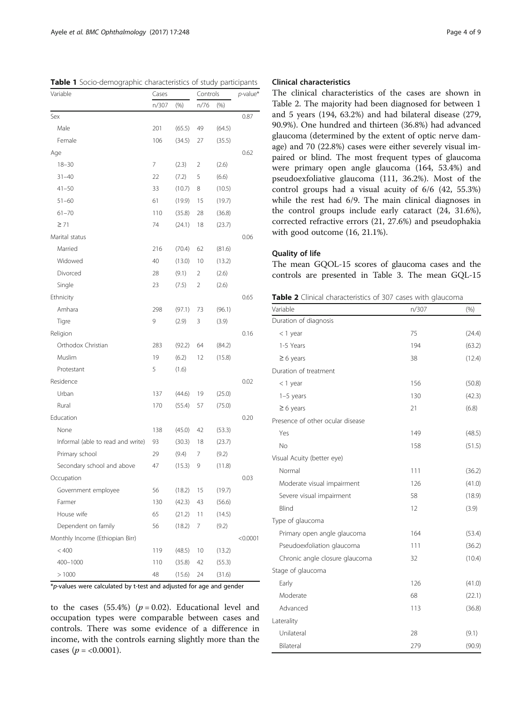<span id="page-3-0"></span>Table 1 Socio-demographic characteristics of study participants

| Variable                          | Cases |        |      | Controls |          |  |
|-----------------------------------|-------|--------|------|----------|----------|--|
|                                   | n/307 | (% )   | n/76 | (% )     |          |  |
| Sex                               |       |        |      |          | 0.87     |  |
| Male                              | 201   | (65.5) | 49   | (64.5)   |          |  |
| Female                            | 106   | (34.5) | 27   | (35.5)   |          |  |
| Age                               |       |        |      |          | 0.62     |  |
| $18 - 30$                         | 7     | (2.3)  | 2    | (2.6)    |          |  |
| $31 - 40$                         | 22    | (7.2)  | 5    | (6.6)    |          |  |
| $41 - 50$                         | 33    | (10.7) | 8    | (10.5)   |          |  |
| $51 - 60$                         | 61    | (19.9) | 15   | (19.7)   |          |  |
| $61 - 70$                         | 110   | (35.8) | 28   | (36.8)   |          |  |
| $\geq 71$                         | 74    | (24.1) | 18   | (23.7)   |          |  |
| Marital status                    |       |        |      |          | 0.06     |  |
| Married                           | 216   | (70.4) | 62   | (81.6)   |          |  |
| Widowed                           | 40    | (13.0) | 10   | (13.2)   |          |  |
| Divorced                          | 28    | (9.1)  | 2    | (2.6)    |          |  |
| Single                            | 23    | (7.5)  | 2    | (2.6)    |          |  |
| Ethnicity                         |       |        |      |          | 0.65     |  |
| Amhara                            | 298   | (97.1) | 73   | (96.1)   |          |  |
| Tigre                             | 9     | (2.9)  | 3    | (3.9)    |          |  |
| Religion                          |       |        |      |          | 0.16     |  |
| Orthodox Christian                | 283   | (92.2) | 64   | (84.2)   |          |  |
| Muslim                            | 19    | (6.2)  | 12   | (15.8)   |          |  |
| Protestant                        | 5     | (1.6)  |      |          |          |  |
| Residence                         |       |        |      |          | 0.02     |  |
| Urban                             | 137   | (44.6) | 19   | (25.0)   |          |  |
| Rural                             | 170   | (55.4) | 57   | (75.0)   |          |  |
| Education                         |       |        |      |          | 0.20     |  |
| None                              | 138   | (45.0) | 42   | (53.3)   |          |  |
| Informal (able to read and write) | 93    | (30.3) | 18   | (23.7)   |          |  |
| Primary school                    | 29    | (9.4)  | 7    | (9.2)    |          |  |
| Secondary school and above        | 47    | (15.3) | 9    | (11.8)   |          |  |
| Occupation                        |       |        |      |          | 0.03     |  |
| Government employee               | 56    | (18.2) | 15   | (19.7)   |          |  |
| Farmer                            | 130   | (42.3) | 43   | (56.6)   |          |  |
| House wife                        | 65    | (21.2) | 11   | (14.5)   |          |  |
| Dependent on family               | 56    | (18.2) | 7    | (9.2)    |          |  |
| Monthly Income (Ethiopian Birr)   |       |        |      |          | < 0.0001 |  |
| < 400                             | 119   | (48.5) | 10   | (13.2)   |          |  |
| $400 - 1000$                      | 110   | (35.8) | 42   | (55.3)   |          |  |
| >1000                             | 48    | (15.6) | 24   | (31.6)   |          |  |

to the cases (55.4%) ( $p = 0.02$ ). Educational level and occupation types were comparable between cases and

controls. There was some evidence of a difference in income, with the controls earning slightly more than the cases ( $p = < 0.0001$ ).

#### Clinical characteristics

The clinical characteristics of the cases are shown in Table 2. The majority had been diagnosed for between 1 and 5 years (194, 63.2%) and had bilateral disease (279, 90.9%). One hundred and thirteen (36.8%) had advanced glaucoma (determined by the extent of optic nerve damage) and 70 (22.8%) cases were either severely visual impaired or blind. The most frequent types of glaucoma were primary open angle glaucoma (164, 53.4%) and pseudoexfoliative glaucoma (111, 36.2%). Most of the control groups had a visual acuity of 6/6 (42, 55.3%) while the rest had 6/9. The main clinical diagnoses in the control groups include early cataract (24, 31.6%), corrected refractive errors (21, 27.6%) and pseudophakia with good outcome (16, 21.1%).

### Quality of life

The mean GQOL-15 scores of glaucoma cases and the controls are presented in Table [3](#page-4-0). The mean GQL-15

| Table 2 Clinical characteristics of 307 cases with glaucoma |  |  |
|-------------------------------------------------------------|--|--|
|-------------------------------------------------------------|--|--|

| Variable                         | n/307 | (% )   |
|----------------------------------|-------|--------|
| Duration of diagnosis            |       |        |
| $<$ 1 year                       | 75    | (24.4) |
| 1-5 Years                        | 194   | (63.2) |
| $\geq 6$ years                   | 38    | (12.4) |
| Duration of treatment            |       |        |
| $<$ 1 year                       | 156   | (50.8) |
| $1-5$ years                      | 130   | (42.3) |
| $\geq 6$ years                   | 21    | (6.8)  |
| Presence of other ocular disease |       |        |
| Yes                              | 149   | (48.5) |
| <b>No</b>                        | 158   | (51.5) |
| Visual Acuity (better eye)       |       |        |
| Normal                           | 111   | (36.2) |
| Moderate visual impairment       | 126   | (41.0) |
| Severe visual impairment         | 58    | (18.9) |
| <b>Blind</b>                     | 12    | (3.9)  |
| Type of glaucoma                 |       |        |
| Primary open angle glaucoma      | 164   | (53.4) |
| Pseudoexfoliation glaucoma       | 111   | (36.2) |
| Chronic angle closure glaucoma   | 32    | (10.4) |
| Stage of glaucoma                |       |        |
| Early                            | 126   | (41.0) |
| Moderate                         | 68    | (22.1) |
| Advanced                         | 113   | (36.8) |
| Laterality                       |       |        |
| Unilateral                       | 28    | (9.1)  |
| Bilateral                        | 279   | (90.9) |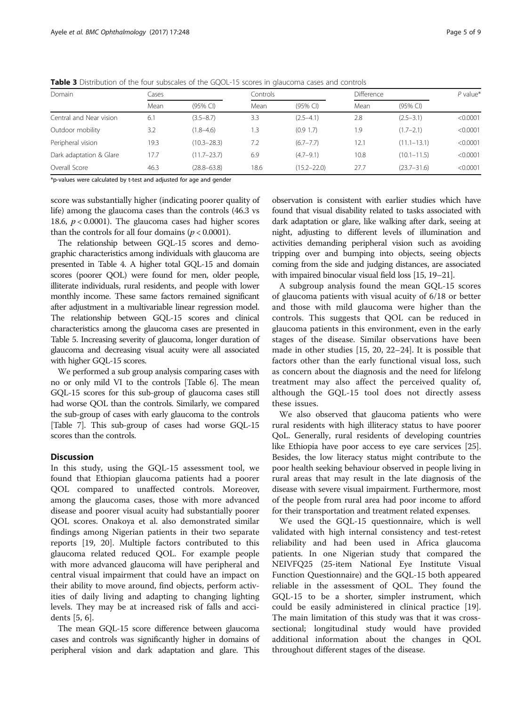| Domain                  | Cases |                 | Controls |                 |      | <b>Difference</b> |          |  |
|-------------------------|-------|-----------------|----------|-----------------|------|-------------------|----------|--|
|                         | Mean  | $(95%$ CI)      | Mean     | $(95%$ CI)      | Mean | $(95%$ CI)        |          |  |
| Central and Near vision | 6.1   | $(3.5 - 8.7)$   | 3.3      | $(2.5 - 4.1)$   | 2.8  | $(2.5 - 3.1)$     | < 0.0001 |  |
| Outdoor mobility        | 3.2   | $(1.8 - 4.6)$   | 1.3      | (0.9 1.7)       | 1.9  | $(1.7 - 2.1)$     | < 0.0001 |  |
| Peripheral vision       | 19.3  | $(10.3 - 28.3)$ | 7.2      | $(6.7 - 7.7)$   | 12.1 | $(11.1 - 13.1)$   | < 0.0001 |  |
| Dark adaptation & Glare | 17.7  | $(11.7 - 23.7)$ | 6.9      | $(4.7-9.1)$     | 10.8 | $(10.1 - 11.5)$   | < 0.0001 |  |
| Overall Score           | 46.3  | $(28.8 - 63.8)$ | 18.6     | $(15.2 - 22.0)$ | 27.7 | $(23.7 - 31.6)$   | < 0.0001 |  |

<span id="page-4-0"></span>Table 3 Distribution of the four subscales of the GQOL-15 scores in glaucoma cases and controls

\*p-values were calculated by t-test and adjusted for age and gender

score was substantially higher (indicating poorer quality of life) among the glaucoma cases than the controls (46.3 vs 18.6,  $p < 0.0001$ ). The glaucoma cases had higher scores than the controls for all four domains ( $p < 0.0001$ ).

The relationship between GQL-15 scores and demographic characteristics among individuals with glaucoma are presented in Table [4](#page-5-0). A higher total GQL-15 and domain scores (poorer QOL) were found for men, older people, illiterate individuals, rural residents, and people with lower monthly income. These same factors remained significant after adjustment in a multivariable linear regression model. The relationship between GQL-15 scores and clinical characteristics among the glaucoma cases are presented in Table [5](#page-6-0). Increasing severity of glaucoma, longer duration of glaucoma and decreasing visual acuity were all associated with higher GQL-15 scores.

We performed a sub group analysis comparing cases with no or only mild VI to the controls [Table [6](#page-6-0)]. The mean GQL-15 scores for this sub-group of glaucoma cases still had worse QOL than the controls. Similarly, we compared the sub-group of cases with early glaucoma to the controls [Table [7](#page-7-0)]. This sub-group of cases had worse GQL-15 scores than the controls.

## **Discussion**

In this study, using the GQL-15 assessment tool, we found that Ethiopian glaucoma patients had a poorer QOL compared to unaffected controls. Moreover, among the glaucoma cases, those with more advanced disease and poorer visual acuity had substantially poorer QOL scores. Onakoya et al. also demonstrated similar findings among Nigerian patients in their two separate reports [[19, 20\]](#page-8-0). Multiple factors contributed to this glaucoma related reduced QOL. For example people with more advanced glaucoma will have peripheral and central visual impairment that could have an impact on their ability to move around, find objects, perform activities of daily living and adapting to changing lighting levels. They may be at increased risk of falls and accidents [[5, 6\]](#page-7-0).

The mean GQL-15 score difference between glaucoma cases and controls was significantly higher in domains of peripheral vision and dark adaptation and glare. This observation is consistent with earlier studies which have found that visual disability related to tasks associated with dark adaptation or glare, like walking after dark, seeing at night, adjusting to different levels of illumination and activities demanding peripheral vision such as avoiding tripping over and bumping into objects, seeing objects coming from the side and judging distances, are associated with impaired binocular visual field loss [[15](#page-8-0), [19](#page-8-0)–[21](#page-8-0)].

A subgroup analysis found the mean GQL-15 scores of glaucoma patients with visual acuity of 6/18 or better and those with mild glaucoma were higher than the controls. This suggests that QOL can be reduced in glaucoma patients in this environment, even in the early stages of the disease. Similar observations have been made in other studies [[15, 20, 22](#page-8-0)–[24](#page-8-0)]. It is possible that factors other than the early functional visual loss, such as concern about the diagnosis and the need for lifelong treatment may also affect the perceived quality of, although the GQL-15 tool does not directly assess these issues.

We also observed that glaucoma patients who were rural residents with high illiteracy status to have poorer QoL. Generally, rural residents of developing countries like Ethiopia have poor access to eye care services [[25](#page-8-0)]. Besides, the low literacy status might contribute to the poor health seeking behaviour observed in people living in rural areas that may result in the late diagnosis of the disease with severe visual impairment. Furthermore, most of the people from rural area had poor income to afford for their transportation and treatment related expenses.

We used the GQL-15 questionnaire, which is well validated with high internal consistency and test-retest reliability and had been used in Africa glaucoma patients. In one Nigerian study that compared the NEIVFQ25 (25-item National Eye Institute Visual Function Questionnaire) and the GQL-15 both appeared reliable in the assessment of QOL. They found the GQL-15 to be a shorter, simpler instrument, which could be easily administered in clinical practice [\[19](#page-8-0)]. The main limitation of this study was that it was crosssectional; longitudinal study would have provided additional information about the changes in QOL throughout different stages of the disease.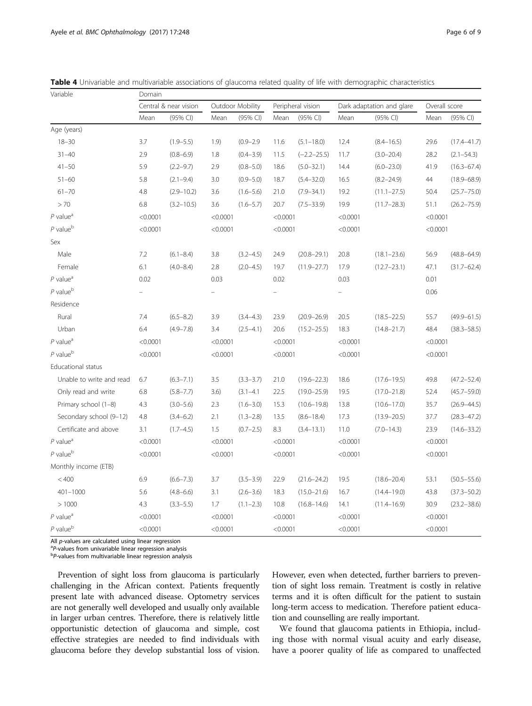| Variable                 | Domain                |                |          |                  |          |                   |          |                           |               |                 |
|--------------------------|-----------------------|----------------|----------|------------------|----------|-------------------|----------|---------------------------|---------------|-----------------|
|                          | Central & near vision |                |          | Outdoor Mobility |          | Peripheral vision |          | Dark adaptation and glare | Overall score |                 |
|                          | Mean                  | (95% CI)       | Mean     | (95% CI)         | Mean     | (95% CI)          | Mean     | (95% CI)                  | Mean          | (95% Cl)        |
| Age (years)              |                       |                |          |                  |          |                   |          |                           |               |                 |
| $18 - 30$                | 3.7                   | $(1.9 - 5.5)$  | 1.9)     | $(0.9 - 2.9)$    | 11.6     | $(5.1 - 18.0)$    | 12.4     | $(8.4 - 16.5)$            | 29.6          | $(17.4 - 41.7)$ |
| $31 - 40$                | 2.9                   | $(0.8 - 6.9)$  | 1.8      | $(0.4 - 3.9)$    | 11.5     | $(-2.2 - 25.5)$   | 11.7     | $(3.0 - 20.4)$            | 28.2          | $(2.1 - 54.3)$  |
| $41 - 50$                | 5.9                   | $(2.2 - 9.7)$  | 2.9      | $(0.8 - 5.0)$    | 18.6     | $(5.0 - 32.1)$    | 14.4     | $(6.0 - 23.0)$            | 41.9          | $(16.3 - 67.4)$ |
| $51 - 60$                | 5.8                   | $(2.1 - 9.4)$  | 3.0      | $(0.9 - 5.0)$    | 18.7     | $(5.4 - 32.0)$    | 16.5     | $(8.2 - 24.9)$            | 44            | $(18.9 - 68.9)$ |
| $61 - 70$                | 4.8                   | $(2.9 - 10.2)$ | 3.6      | $(1.6 - 5.6)$    | 21.0     | $(7.9 - 34.1)$    | 19.2     | $(11.1 - 27.5)$           | 50.4          | $(25.7 - 75.0)$ |
| > 70                     | 6.8                   | $(3.2 - 10.5)$ | 3.6      | $(1.6 - 5.7)$    | 20.7     | $(7.5 - 33.9)$    | 19.9     | $(11.7 - 28.3)$           | 51.1          | $(26.2 - 75.9)$ |
| $P$ value <sup>a</sup>   | < 0.0001              |                | < 0.0001 |                  | < 0.0001 |                   | < 0.0001 |                           | < 0.0001      |                 |
| $P$ value $P$            | < 0.0001              |                | < 0.0001 |                  | < 0.0001 |                   | < 0.0001 |                           | < 0.0001      |                 |
| Sex                      |                       |                |          |                  |          |                   |          |                           |               |                 |
| Male                     | 7.2                   | $(6.1 - 8.4)$  | 3.8      | $(3.2 - 4.5)$    | 24.9     | $(20.8 - 29.1)$   | 20.8     | $(18.1 - 23.6)$           | 56.9          | $(48.8 - 64.9)$ |
| Female                   | 6.1                   | $(4.0 - 8.4)$  | 2.8      | $(2.0 - 4.5)$    | 19.7     | $(11.9 - 27.7)$   | 17.9     | $(12.7 - 23.1)$           | 47.1          | $(31.7 - 62.4)$ |
| $P$ value <sup>a</sup>   | 0.02                  |                | 0.03     |                  | 0.02     |                   | 0.03     |                           | 0.01          |                 |
| $P$ value $b$            |                       |                |          |                  |          |                   |          |                           | 0.06          |                 |
| Residence                |                       |                |          |                  |          |                   |          |                           |               |                 |
| Rural                    | 7.4                   | $(6.5 - 8.2)$  | 3.9      | $(3.4 - 4.3)$    | 23.9     | $(20.9 - 26.9)$   | 20.5     | $(18.5 - 22.5)$           | 55.7          | $(49.9 - 61.5)$ |
| Urban                    | 6.4                   | $(4.9 - 7.8)$  | 3.4      | $(2.5 - 4.1)$    | 20.6     | $(15.2 - 25.5)$   | 18.3     | $(14.8 - 21.7)$           | 48.4          | $(38.3 - 58.5)$ |
| $P$ value <sup>a</sup>   | < 0.0001              |                | < 0.0001 |                  | < 0.0001 |                   | < 0.0001 |                           | < 0.0001      |                 |
| $P$ value $b$            | < 0.0001              |                | < 0.0001 |                  | < 0.0001 |                   | < 0.0001 |                           | < 0.0001      |                 |
| Educational status       |                       |                |          |                  |          |                   |          |                           |               |                 |
| Unable to write and read | 6.7                   | $(6.3 - 7.1)$  | 3.5      | $(3.3 - 3.7)$    | 21.0     | $(19.6 - 22.3)$   | 18.6     | $(17.6 - 19.5)$           | 49.8          | $(47.2 - 52.4)$ |
| Only read and write      | 6.8                   | $(5.8 - 7.7)$  | 3.6)     | $(3.1 - 4.1)$    | 22.5     | $(19.0 - 25.9)$   | 19.5     | $(17.0 - 21.8)$           | 52.4          | $(45.7 - 59.0)$ |
| Primary school (1-8)     | 4.3                   | $(3.0 - 5.6)$  | 2.3      | $(1.6 - 3.0)$    | 15.3     | $(10.6 - 19.8)$   | 13.8     | $(10.6 - 17.0)$           | 35.7          | $(26.9 - 44.5)$ |
| Secondary school (9-12)  | 4.8                   | $(3.4 - 6.2)$  | 2.1      | $(1.3 - 2.8)$    | 13.5     | $(8.6 - 18.4)$    | 17.3     | $(13.9 - 20.5)$           | 37.7          | $(28.3 - 47.2)$ |
| Certificate and above    | 3.1                   | $(1.7 - 4.5)$  | 1.5      | $(0.7 - 2.5)$    | 8.3      | $(3.4 - 13.1)$    | 11.0     | $(7.0 - 14.3)$            | 23.9          | $(14.6 - 33.2)$ |
| $P$ value <sup>a</sup>   | < 0.0001              |                | < 0.0001 |                  | < 0.0001 |                   | < 0.0001 |                           | < 0.0001      |                 |
| $P$ value $b$            | < 0.0001              |                | < 0.0001 |                  | < 0.0001 |                   | < 0.0001 |                           | < 0.0001      |                 |
| Monthly income (ETB)     |                       |                |          |                  |          |                   |          |                           |               |                 |
| < 400                    | 6.9                   | $(6.6 - 7.3)$  | 3.7      | $(3.5 - 3.9)$    | 22.9     | $(21.6 - 24.2)$   | 19.5     | $(18.6 - 20.4)$           | 53.1          | $(50.5 - 55.6)$ |
| $401 - 1000$             | 5.6                   | $(4.8 - 6.6)$  | 3.1      | $(2.6 - 3.6)$    | 18.3     | $(15.0 - 21.6)$   | 16.7     | $(14.4 - 19.0)$           | 43.8          | $(37.3 - 50.2)$ |
| >1000                    | 4.3                   | $(3.3 - 5.5)$  | 1.7      | $(1.1 - 2.3)$    | 10.8     | $(16.8 - 14.6)$   | 14.1     | $(11.4 - 16.9)$           | 30.9          | $(23.2 - 38.6)$ |
| $P$ value <sup>a</sup>   | < 0.0001              |                | < 0.0001 |                  | < 0.0001 |                   | < 0.0001 |                           | < 0.0001      |                 |
| $P$ value <sup>b</sup>   | < 0.0001              |                | < 0.0001 |                  | < 0.0001 |                   | < 0.0001 |                           | < 0.0001      |                 |

<span id="page-5-0"></span>Table 4 Univariable and multivariable associations of glaucoma related quality of life with demographic characteristics

All *p*-values are calculated using linear regression  $a$ <sup>2</sup>*P*-values from univariable linear regression analysis

<sup>a</sup>P-values from univariable linear regression analysis<br><sup>b</sup>R-values from multivariable linear regression analys

P-values from multivariable linear regression analysis

Prevention of sight loss from glaucoma is particularly challenging in the African context. Patients frequently present late with advanced disease. Optometry services are not generally well developed and usually only available in larger urban centres. Therefore, there is relatively little opportunistic detection of glaucoma and simple, cost effective strategies are needed to find individuals with glaucoma before they develop substantial loss of vision. However, even when detected, further barriers to prevention of sight loss remain. Treatment is costly in relative terms and it is often difficult for the patient to sustain long-term access to medication. Therefore patient education and counselling are really important.

We found that glaucoma patients in Ethiopia, including those with normal visual acuity and early disease, have a poorer quality of life as compared to unaffected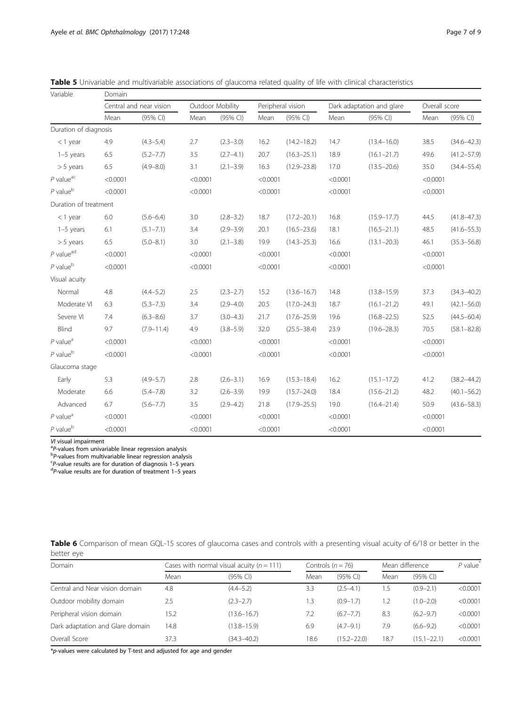| Variable                | Domain   |                         |          |                  |          |                   |                           |                 |               |                 |
|-------------------------|----------|-------------------------|----------|------------------|----------|-------------------|---------------------------|-----------------|---------------|-----------------|
|                         |          | Central and near vision |          | Outdoor Mobility |          | Peripheral vision | Dark adaptation and glare |                 | Overall score |                 |
|                         | Mean     | (95% CI)                | Mean     | (95% CI)         | Mean     | (95% CI)          | Mean                      | (95% CI)        | Mean          | (95% CI)        |
| Duration of diagnosis   |          |                         |          |                  |          |                   |                           |                 |               |                 |
| $<$ 1 year              | 4.9      | $(4.3 - 5.4)$           | 2.7      | $(2.3 - 3.0)$    | 16.2     | $(14.2 - 18.2)$   | 14.7                      | $(13.4 - 16.0)$ | 38.5          | $(34.6 - 42.3)$ |
| $1-5$ years             | 6.5      | $(5.2 - 7.7)$           | 3.5      | $(2.7 - 4.1)$    | 20.7     | $(16.3 - 25.1)$   | 18.9                      | $(16.1 - 21.7)$ | 49.6          | $(41.2 - 57.9)$ |
| $> 5$ years             | 6.5      | $(4.9 - 8.0)$           | 3.1      | $(2.1 - 3.9)$    | 16.3     | $(12.9 - 23.8)$   | 17.0                      | $(13.5 - 20.6)$ | 35.0          | $(34.4 - 55.4)$ |
| $P$ value <sup>ac</sup> | < 0.0001 |                         | < 0.0001 |                  | < 0.0001 |                   | < 0.0001                  |                 | < 0.0001      |                 |
| $P$ value <sup>b</sup>  | < 0.0001 |                         | < 0.0001 |                  | < 0.0001 |                   | < 0.0001                  |                 | < 0.0001      |                 |
| Duration of treatment   |          |                         |          |                  |          |                   |                           |                 |               |                 |
| $<$ 1 year              | 6.0      | $(5.6 - 6.4)$           | 3.0      | $(2.8 - 3.2)$    | 18.7     | $(17.2 - 20.1)$   | 16.8                      | $(15.9 - 17.7)$ | 44.5          | $(41.8 - 47.3)$ |
| $1-5$ years             | 6.1      | $(5.1 - 7.1)$           | 3.4      | $(2.9 - 3.9)$    | 20.1     | $(16.5 - 23.6)$   | 18.1                      | $(16.5 - 21.1)$ | 48.5          | $(41.6 - 55.3)$ |
| $> 5$ years             | 6.5      | $(5.0 - 8.1)$           | 3.0      | $(2.1 - 3.8)$    | 19.9     | $(14.3 - 25.3)$   | 16.6                      | $(13.1 - 20.3)$ | 46.1          | $(35.3 - 56.8)$ |
| $P$ value <sup>ad</sup> | < 0.0001 |                         | < 0.0001 |                  | < 0.0001 |                   | < 0.0001                  |                 | < 0.0001      |                 |
| $P$ value <sup>b</sup>  | < 0.0001 |                         | < 0.0001 |                  | < 0.0001 |                   | < 0.0001                  |                 | < 0.0001      |                 |
| Visual acuity           |          |                         |          |                  |          |                   |                           |                 |               |                 |
| Normal                  | 4.8      | $(4.4 - 5.2)$           | 2.5      | $(2.3 - 2.7)$    | 15.2     | $(13.6 - 16.7)$   | 14.8                      | $(13.8 - 15.9)$ | 37.3          | $(34.3 - 40.2)$ |
| Moderate VI             | 6.3      | $(5.3 - 7.3)$           | 3.4      | $(2.9 - 4.0)$    | 20.5     | $(17.0 - 24.3)$   | 18.7                      | $(16.1 - 21.2)$ | 49.1          | $(42.1 - 56.0)$ |
| Severe VI               | 7.4      | $(6.3 - 8.6)$           | 3.7      | $(3.0 - 4.3)$    | 21.7     | $(17.6 - 25.9)$   | 19.6                      | $(16.8 - 22.5)$ | 52.5          | $(44.5 - 60.4)$ |
| Blind                   | 9.7      | $(7.9 - 11.4)$          | 4.9      | $(3.8 - 5.9)$    | 32.0     | $(25.5 - 38.4)$   | 23.9                      | $(19.6 - 28.3)$ | 70.5          | $(58.1 - 82.8)$ |
| $P$ value <sup>a</sup>  | < 0.0001 |                         | < 0.0001 |                  | < 0.0001 |                   | < 0.0001                  |                 | < 0.0001      |                 |
| $P$ value $^{\rm b}$    | < 0.0001 |                         | < 0.0001 |                  | < 0.0001 |                   | < 0.0001                  |                 | < 0.0001      |                 |
| Glaucoma stage          |          |                         |          |                  |          |                   |                           |                 |               |                 |
| Early                   | 5.3      | $(4.9 - 5.7)$           | 2.8      | $(2.6 - 3.1)$    | 16.9     | $(15.3 - 18.4)$   | 16.2                      | $(15.1 - 17.2)$ | 41.2          | $(38.2 - 44.2)$ |
| Moderate                | 6.6      | $(5.4 - 7.8)$           | 3.2      | $(2.6 - 3.9)$    | 19.9     | $(15.7 - 24.0)$   | 18.4                      | $(15.6 - 21.2)$ | 48.2          | $(40.1 - 56.2)$ |
| Advanced                | 6.7      | $(5.6 - 7.7)$           | 3.5      | $(2.9 - 4.2)$    | 21.8     | $(17.9 - 25.5)$   | 19.0                      | $(16.4 - 21.4)$ | 50.9          | $(43.6 - 58.3)$ |
| $P$ value <sup>a</sup>  | < 0.0001 |                         | < 0.0001 |                  | < 0.0001 |                   | < 0.0001                  |                 | < 0.0001      |                 |
| $P$ value $b$           | < 0.0001 |                         | < 0.0001 |                  | < 0.0001 |                   | < 0.0001                  |                 | < 0.0001      |                 |

<span id="page-6-0"></span>Table 5 Univariable and multivariable associations of glaucoma related quality of life with clinical characteristics

 $V1$  visual impairment

P-values from univariable linear regression analysis<br>
<sup>b</sup>P-values from multivariable linear regression analysis <sup>B</sup>P-values from multivariable linear regression analysis<br>SP-value results are for duration of diagnosis 1–5 vear

<sup>c</sup>P-value results are for duration of diagnosis 1–5 years<br><sup>d</sup>P-value results are for duration of treatment 1–5 years

P-value results are for duration of treatment 1–5 years

| Table 6 Comparison of mean GQL-15 scores of glaucoma cases and controls with a presenting visual acuity of 6/18 or better in the |  |  |  |  |  |  |
|----------------------------------------------------------------------------------------------------------------------------------|--|--|--|--|--|--|
| better eye                                                                                                                       |  |  |  |  |  |  |

| Domain                           |      | Cases with normal visual acuity $(n = 111)$ |      | Controls $(n = 76)$ | Mean difference | $P$ value <sup>*</sup> |          |
|----------------------------------|------|---------------------------------------------|------|---------------------|-----------------|------------------------|----------|
|                                  | Mean | $(95%$ CI)                                  | Mean | $(95%$ CI)          | Mean            | (95% CI)               |          |
| Central and Near vision domain   | 4.8  | $(4.4 - 5.2)$                               | 3.3  | $(2.5 - 4.1)$       | 1.5             | $(0.9 - 2.1)$          | < 0.0001 |
| Outdoor mobility domain          | 2.5  | $(2.3 - 2.7)$                               | 1.3  | $(0.9 - 1.7)$       | 1.2             | $(1.0 - 2.0)$          | < 0.0001 |
| Peripheral vision domain         | 15.2 | $(13.6 - 16.7)$                             | 7.2  | $(6.7 - 7.7)$       | 8.3             | $(6.2 - 9.7)$          | < 0.0001 |
| Dark adaptation and Glare domain | 14.8 | $(13.8 - 15.9)$                             | 6.9  | $(4.7-9.1)$         | 7.9             | $(6.6 - 9.2)$          | < 0.0001 |
| Overall Score                    | 37.3 | $(34.3 - 40.2)$                             | 18.6 | $(15.2 - 22.0)$     | 18.7            | $(15.1 - 22.1)$        | < 0.0001 |

\*p-values were calculated by T-test and adjusted for age and gender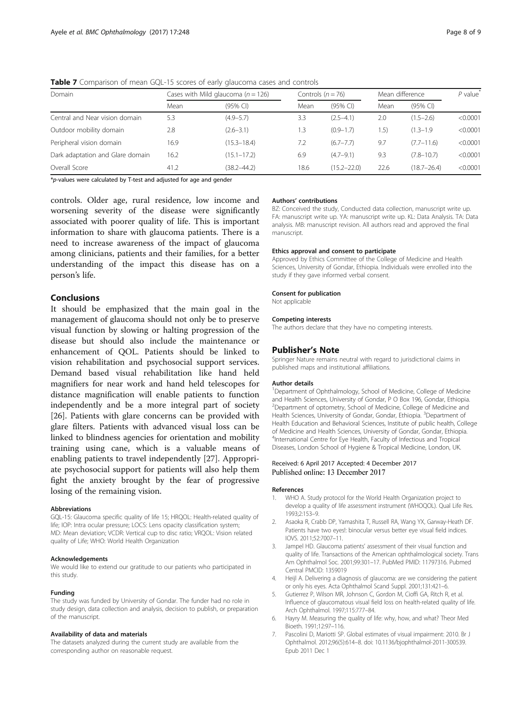| Domain                           |      | Cases with Mild glaucoma $(n = 126)$ |      | Controls $(n = 76)$ | Mean difference | $P$ value <sup>*</sup> |          |
|----------------------------------|------|--------------------------------------|------|---------------------|-----------------|------------------------|----------|
|                                  | Mean | (95% CI)                             | Mean | $(95%$ CI)          | Mean            | $(95%$ CI)             |          |
| Central and Near vision domain   | 5.3  | $(4.9 - 5.7)$                        | 3.3  | $(2.5 - 4.1)$       | 2.0             | $(1.5 - 2.6)$          | < 0.0001 |
| Outdoor mobility domain          | 2.8  | $(2.6 - 3.1)$                        | 1.3  | $(0.9 - 1.7)$       | 1.5)            | $(1.3 - 1.9)$          | < 0.0001 |
| Peripheral vision domain         | 16.9 | $(15.3 - 18.4)$                      | 7.2  | $(6.7 - 7.7)$       | 9.7             | $(7.7 - 11.6)$         | < 0.0001 |
| Dark adaptation and Glare domain | 16.2 | $(15.1 - 17.2)$                      | 6.9  | $(4.7-9.1)$         | 9.3             | $(7.8 - 10.7)$         | < 0.0001 |
| Overall Score                    | 41.2 | (38.2–44.2)                          | 18.6 | $(15.2 - 22.0)$     | 22.6            | $(18.7 - 26.4)$        | < 0.0001 |

<span id="page-7-0"></span>**Table 7** Comparison of mean GQL-15 scores of early glaucoma cases and controls

 $*p$ -values were calculated by T-test and adjusted for age and gender

controls. Older age, rural residence, low income and worsening severity of the disease were significantly associated with poorer quality of life. This is important information to share with glaucoma patients. There is a need to increase awareness of the impact of glaucoma among clinicians, patients and their families, for a better understanding of the impact this disease has on a person's life.

#### Conclusions

It should be emphasized that the main goal in the management of glaucoma should not only be to preserve visual function by slowing or halting progression of the disease but should also include the maintenance or enhancement of QOL. Patients should be linked to vision rehabilitation and psychosocial support services. Demand based visual rehabilitation like hand held magnifiers for near work and hand held telescopes for distance magnification will enable patients to function independently and be a more integral part of society [[26\]](#page-8-0). Patients with glare concerns can be provided with glare filters. Patients with advanced visual loss can be linked to blindness agencies for orientation and mobility training using cane, which is a valuable means of enabling patients to travel independently [\[27\]](#page-8-0). Appropriate psychosocial support for patients will also help them fight the anxiety brought by the fear of progressive losing of the remaining vision.

#### Abbreviations

GQL-15: Glaucoma specific quality of life 15; HRQOL: Health-related quality of life; IOP: Intra ocular pressure; LOCS: Lens opacity classification system; MD: Mean deviation; VCDR: Vertical cup to disc ratio; VRQOL: Vision related quality of Life; WHO: World Health Organization

#### Acknowledgements

We would like to extend our gratitude to our patients who participated in this study.

#### Funding

The study was funded by University of Gondar. The funder had no role in study design, data collection and analysis, decision to publish, or preparation of the manuscript.

#### Availability of data and materials

The datasets analyzed during the current study are available from the corresponding author on reasonable request.

#### Authors' contributions

BZ: Conceived the study, Conducted data collection, manuscript write up. FA: manuscript write up. YA: manuscript write up. KL: Data Analysis. TA: Data analysis. MB: manuscript revision. All authors read and approved the final manuscript.

#### Ethics approval and consent to participate

Approved by Ethics Committee of the College of Medicine and Health Sciences, University of Gondar, Ethiopia. Individuals were enrolled into the study if they gave informed verbal consent.

#### Consent for publication

Not applicable

#### Competing interests

The authors declare that they have no competing interests.

#### Publisher's Note

Springer Nature remains neutral with regard to jurisdictional claims in published maps and institutional affiliations.

#### Author details

<sup>1</sup>Department of Ophthalmology, School of Medicine, College of Medicine and Health Sciences, University of Gondar, P O Box 196, Gondar, Ethiopia. <sup>2</sup>Department of optometry, School of Medicine, College of Medicine and Health Sciences, University of Gondar, Gondar, Ethiopia. <sup>3</sup>Department of Health Education and Behavioral Sciences, Institute of public health, College of Medicine and Health Sciences, University of Gondar, Gondar, Ethiopia. 4 International Centre for Eye Health, Faculty of Infectious and Tropical Diseases, London School of Hygiene & Tropical Medicine, London, UK.

#### Received: 6 April 2017 Accepted: 4 December 2017 Published online: 13 December 2017

#### References

- 1. WHO A. Study protocol for the World Health Organization project to develop a quality of life assessment instrument (WHOQOL). Qual Life Res. 1993;2:153–9.
- 2. Asaoka R, Crabb DP, Yamashita T, Russell RA, Wang YX, Garway-Heath DF. Patients have two eyes!: binocular versus better eye visual field indices. IOVS. 2011;52:7007–11.
- Jampel HD. Glaucoma patients' assessment of their visual function and quality of life. Transactions of the American ophthalmological society. Trans Am Ophthalmol Soc. 2001;99:301–17. PubMed PMID: [11797316](https://www.ncbi.nlm.nih.gov/pubmed/11797316). Pubmed Central PMCID: [1359019](https://www.ncbi.nlm.nih.gov/pubmed/1359019)
- 4. Heijl A. Delivering a diagnosis of glaucoma: are we considering the patient or only his eyes. Acta Ophthalmol Scand Suppl. 2001;131:421–6.
- 5. Gutierrez P, Wilson MR, Johnson C, Gordon M, Cioffi GA, Ritch R, et al. Influence of glaucomatous visual field loss on health-related quality of life. Arch Ophthalmol. 1997;115:777–84.
- 6. Hayry M. Measuring the quality of life: why, how, and what? Theor Med Bioeth. 1991;12:97–116.
- Pascolini D, Mariotti SP. Global estimates of visual impairment: 2010. Br J Ophthalmol. 2012;96(5):614–8. doi: [10.1136/bjophthalmol-2011-300539.](http://dx.doi.org/10.1136/bjophthalmol-2011-300539) Epub 2011 Dec 1